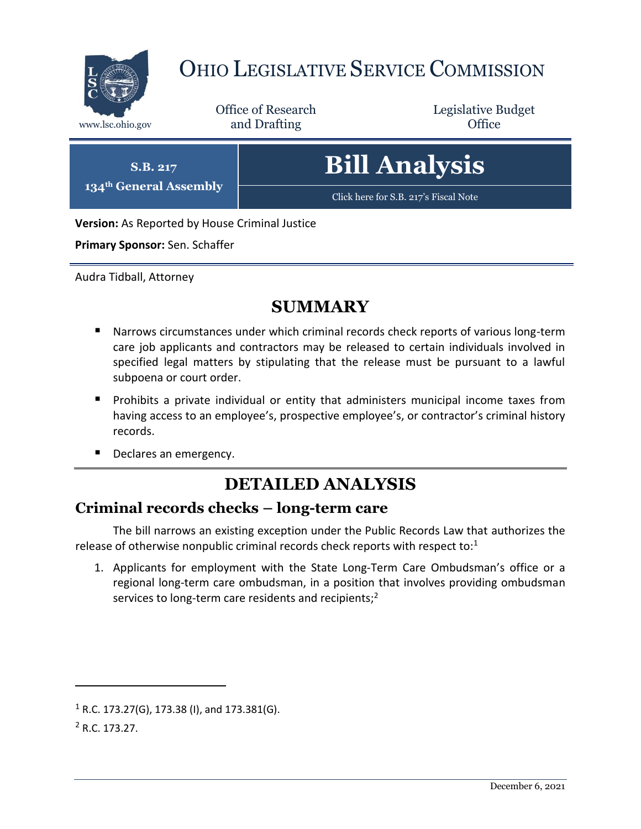

# OHIO LEGISLATIVE SERVICE COMMISSION

Office of Research www.lsc.ohio.gov **and Drafting Office** 

Legislative Budget

**S.B. 217 134th General Assembly** **Bill Analysis**

[Click here for S.B. 217](https://www.legislature.ohio.gov/legislation/legislation-documents?id=GA134-SB-217)'s Fiscal Note

**Version:** As Reported by House Criminal Justice

**Primary Sponsor:** Sen. Schaffer

Audra Tidball, Attorney

## **SUMMARY**

- Narrows circumstances under which criminal records check reports of various long-term care job applicants and contractors may be released to certain individuals involved in specified legal matters by stipulating that the release must be pursuant to a lawful subpoena or court order.
- Prohibits a private individual or entity that administers municipal income taxes from having access to an employee's, prospective employee's, or contractor's criminal history records.
- Declares an emergency.

## **DETAILED ANALYSIS**

#### **Criminal records checks – long-term care**

The bill narrows an existing exception under the Public Records Law that authorizes the release of otherwise nonpublic criminal records check reports with respect to:<sup>1</sup>

1. Applicants for employment with the State Long-Term Care Ombudsman's office or a regional long-term care ombudsman, in a position that involves providing ombudsman services to long-term care residents and recipients;<sup>2</sup>

 $\overline{a}$ 

 $1 R.C. 173.27(G), 173.38 (I),$  and  $173.381(G).$ 

<sup>2</sup> R.C. 173.27.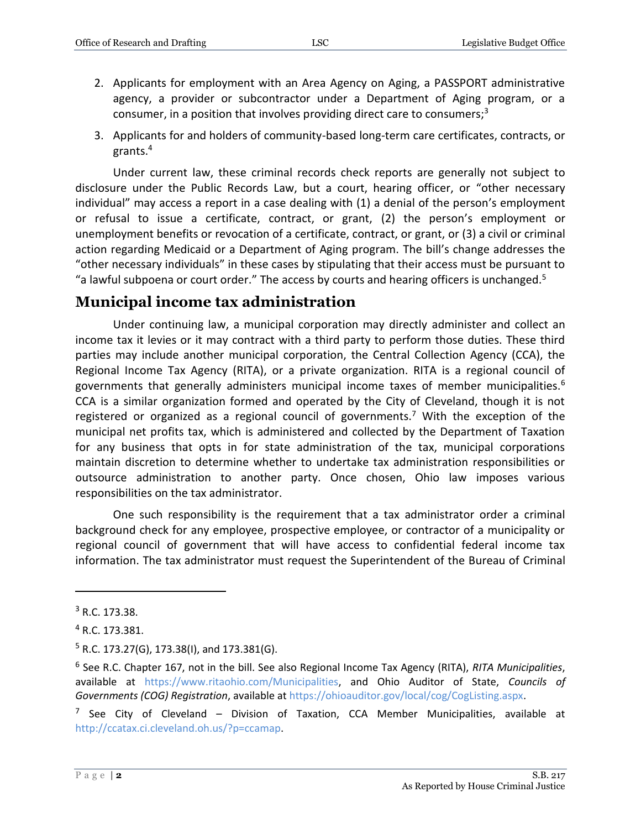- 2. Applicants for employment with an Area Agency on Aging, a PASSPORT administrative agency, a provider or subcontractor under a Department of Aging program, or a consumer, in a position that involves providing direct care to consumers; $3$
- 3. Applicants for and holders of community-based long-term care certificates, contracts, or grants.<sup>4</sup>

Under current law, these criminal records check reports are generally not subject to disclosure under the Public Records Law, but a court, hearing officer, or "other necessary individual" may access a report in a case dealing with (1) a denial of the person's employment or refusal to issue a certificate, contract, or grant, (2) the person's employment or unemployment benefits or revocation of a certificate, contract, or grant, or (3) a civil or criminal action regarding Medicaid or a Department of Aging program. The bill's change addresses the "other necessary individuals" in these cases by stipulating that their access must be pursuant to "a lawful subpoena or court order." The access by courts and hearing officers is unchanged.<sup>5</sup>

#### **Municipal income tax administration**

Under continuing law, a municipal corporation may directly administer and collect an income tax it levies or it may contract with a third party to perform those duties. These third parties may include another municipal corporation, the Central Collection Agency (CCA), the Regional Income Tax Agency (RITA), or a private organization. RITA is a regional council of governments that generally administers municipal income taxes of member municipalities.<sup>6</sup> CCA is a similar organization formed and operated by the City of Cleveland, though it is not registered or organized as a regional council of governments.<sup>7</sup> With the exception of the municipal net profits tax, which is administered and collected by the Department of Taxation for any business that opts in for state administration of the tax, municipal corporations maintain discretion to determine whether to undertake tax administration responsibilities or outsource administration to another party. Once chosen, Ohio law imposes various responsibilities on the tax administrator.

One such responsibility is the requirement that a tax administrator order a criminal background check for any employee, prospective employee, or contractor of a municipality or regional council of government that will have access to confidential federal income tax information. The tax administrator must request the Superintendent of the Bureau of Criminal

 $\overline{a}$ 

<sup>3</sup> R.C. 173.38.

<sup>4</sup> R.C. 173.381.

 $5$  R.C. 173.27(G), 173.38(I), and 173.381(G).

<sup>6</sup> See R.C. Chapter 167, not in the bill. See also Regional Income Tax Agency (RITA), *RITA Municipalities*, available at [https://www.ritaohio.com/Municipalities,](https://www.ritaohio.com/Municipalities) and Ohio Auditor of State, *Councils of Governments (COG) Registration*, available at [https://ohioauditor.gov/local/cog/CogListing.aspx.](https://ohioauditor.gov/local/cog/CogListing.aspx)

<sup>&</sup>lt;sup>7</sup> See City of Cleveland – Division of Taxation, CCA Member Municipalities, available at [http://ccatax.ci.cleveland.oh.us/?p=ccamap.](http://ccatax.ci.cleveland.oh.us/?p=ccamap)